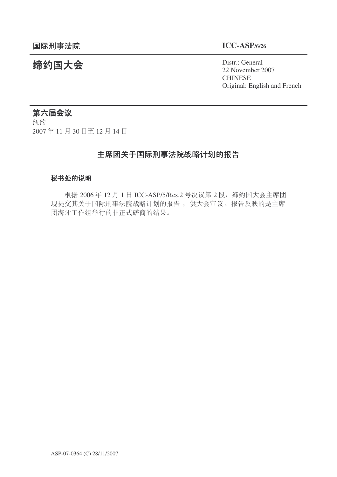统约国大会 Pistra Distract General 22 November 2007 **CHINESE** Original: English and French

# 第六届会议

纽约 2007年11月30日至12月14日

## 主席团关于国际刑事法院战略计划的报告

#### 秘书处的说明

根据 2006年 12 月 1 日 ICC-ASP/5/Res.2 号决议第 2 段, 缔约国大会主席团 现提交其关于国际刑事法院战略计划的报告, 供大会审议。报告反映的是主席 团海牙工作组举行的非正式磋商的结果。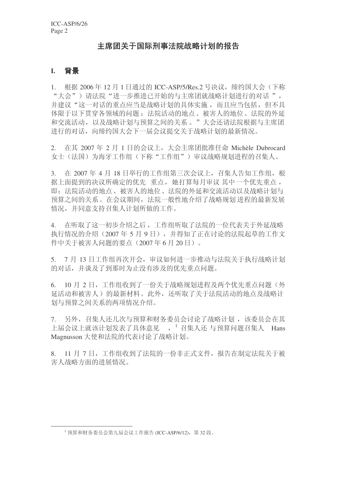#### 主席团关于国际刑事法院战略计划的报告

#### **I.** 背景

1. 根据 2006年 12 月 1 日通过的 ICC-ASP/5/Res.2 号决议, 缔约国大会(下称 "大会")请法院"进一步推进已开始的与主席团就战略计划进行的对话", 并建议"这一对话的重点应当是战略计划的具体实施,而且应当包括,但不具 体限于以下贯穿各领域的问题: 法院活动的地点、被害人的地位、法院的外延 和交流活动,以及战略计划与预算之间的关系。"大会还请法院根据与主席团 进行的对话, 向缔约国大会下一届会议提交关于战略计划的最新情况。

2. 在其 2007 年 2 月 1 日的会议上, 大会主席团批准任命 Michèle Dubrocard 女士(法国)为海牙工作组(下称"工作组")审议战略规划进程的召集人。

3. 在 2007年4月18日举行的工作组第三次会议上, 召集人告知工作组, 根 据上面提到的决议所确定的优先 重点, 她打算每月审议 其中一个优先重点, 即: 法院活动的地点、被害人的地位、法院的外延和交流活动以及战略计划与 预算之间的关系。在会议期间, 法院一般性地介绍了战略规划 进程的最新发展 情况,并同意支持召集人计划所做的工作。

4. 在听取了这一初步介绍之后,工作组听取了法院的一位代表关于外延战略 执行情况的介绍 (2007年5月9日), 并得知了正在讨论的法院起草的工作文 件中关于被害人问题的要点 (2007年6月20日)。

5. 7 月 13 日工作组再次开会, 审议如何进一步推动与法院关于执行战略计划 的对话,并谈及了到那时为止没有涉及的优先重点问题。

6. 10 月 2 日, 工作组收到了一份关于战略规划进程及两个优先重点问题(外 延活动和被害人)的最新材料。此外,还听取了关于法院活动的地点及战略计 划与预算之间关系的两项情况介绍。

7. 另外,召集人还几次与预算和财务委员会讨论了战略计划,该委员会在其 ϞሞӮ䆂Ϟህ䆹䅵ߦথ㸼њԧᛣ㾕 ˈ<sup>1</sup> ী䲚Ҏ䖬 Ϣ乘ㅫ䯂乬ী䲚Ҏ Hans Magnusson 大使和法院的代表讨论了战略计划。

8. 11 月 7 日, 工作组收到了法院的一份非正式文件, 报告在制定法院关于被 害人战略方面的进展情况。

 $^{-1}$  预算和财务委员会第九届会议工作报告 (ICC-ASP/6/12), 第32 段。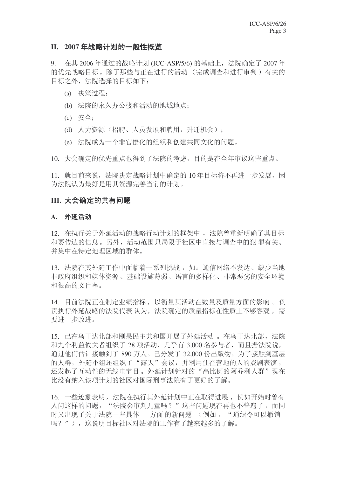#### **II.** 2007年战略计划的一般性概览

9. 在其 2006年通过的战略计划 (ICC-ASP/5/6) 的基础上, 法院确定了 2007年 的优先战略目标。除了那些与正在进行的活动(完成调查和进行审判)有关的 目标之外, 法院选择的目标如下:

- (a) 决策过程:
- (b) 法院的永久办公楼和活动的地域地点:
- $(c)$   $\overrightarrow{\mathcal{F}}$  $\oplus$ ;
- (d) 人力资源(招聘、人员发展和聘用,升迁机会);
- (e) 法院成为一个非官僚化的组织和创建共同文化的问题。

10. 大会确定的优先重点也得到了法院的考虑, 目的是在全年审议这些重点。

11. 就目前来说, 法院决定战略计划中确定的 10 年目标将不再进一步发展, 因 为洪院认为最好是用其资源完善当前的计划。

### III. 大会确定的共有问题

#### A. 外延活动

12. 在执行关于外延活动的战略行动计划的框架中, 法院曾重新明确了其目标 和要传达的信息。另外,活动范围只局限于社区中直接与调查中的犯罪有关、 并集中在特定地理区域的群体。

13. 法院在其外延工作中面临着一系列挑战, 如: 通信网络不发达、缺少当地 非政府组织和媒体资源、基础设施薄弱、语言的多样化、非常恶劣的安全环境 和很高的文盲率。

14. 目前法院正在制定业绩指标, 以衡量其活动在数量及质量方面的影响。负 责执行外延战略的法院代表 认为, 法院确定的质量指标在性质上不够客观, 需 要讲一步改讲。

15. 已在乌干达北部和刚果民主共和国开展了外延活动。在乌干达北部,法院 和九个利益攸关者组织了 28 项活动, 几乎有 3,000 名参与者, 而且据法院说, 通过他们估计接触到了890 万人。已分发了32,000 份出版物。为了接触到基层 的人群, 外延小组还组织了"露天"会议, 并利用住在营地的人的戏剧表演, 还发起了互动性的无线电节目。外延计划针对的"高比例的阿乔利人群"现在 比没有纳入该项计划的社区对国际刑事法院有了更好的了解。

16. 一些迹象表明, 法院在执行基外延计划中正在取得讲展, 例如开始时曾有 人问这样的问题, "法院会审判儿童吗?"这些问题现在再也不普遍了, 而同 时又出现了关于法院一些具体。方面的新问题 (例如, "通缉令可以撤销 吗?"),这说明目标社区对法院的工作有了越来越多的了解。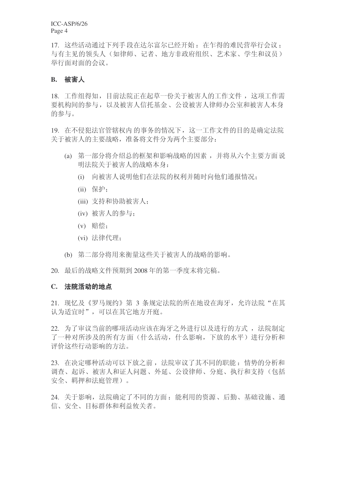ICC-ASP/6/26 Page 4

17. 这些活动通过下列手段在达尔富尔已经开始: 在乍得的难民营举行会议; 与有主见的领头人(如律师、记者、地方非政府组织、艺术家、学生和议员) 举行面对面的会议。

#### **B.** 被害人

18. 工作组得知, 目前法院正在起草一份关于被害人的工作文件, 这项工作需 要机构间的参与, 以及被害人信托基金、公设被害人律师办公室和被害人本身 的参与。

19. 在不侵犯法官管辖权内的事务的情况下,这一工作文件的目的是确定法院 关于被害人的主要战略,准备将文件分为两个主要部分:

- (a) 第一部分将介绍总的框架和影响战略的因素, 并将从六个主要方面说 明法院关于被害人的战略本身:
	- (i) 向被害人说明他们在法院的权利并随时向他们通报情况:
	- $(ii)$   $R#$ :
	- (iii) 支持和协助被害人;
	- (iv) 被害人的参与:
	- (v) 赔偿:
	- (vi) 法律代理;
- (b) 第二部分将用来衡量这些关于被害人的战略的影响。
- 20. 最后的战略文件预期到 2008 年的第一季度末将完稿。

#### C. 法院活动的地点

21. 现忆及《罗马规约》第 3 条规定法院的所在地设在海牙, 允许法院"在其 认为适宜时",可以在其它地方开庭。

22. 为了审议当前的哪项活动应该在海牙之外进行以及进行的方式, 法院制定 了一种对所涉及的所有方面(什么活动,什么影响,下放的水平)进行分析和 评价这些行动影响的方法。

23. 在决定哪种活动可以下放之前, 法院审议了其不同的职能: 情势的分析和 调杳、起诉、被害人和证人问题、外延、公设律师、分庭、执行和支持(包括 安全、羁押和法庭管理)。

24. 关于影响, 法院确定了不同的方面: 能利用的资源、后勤、基础设施、通 信、安全、目标群体和利益攸关者。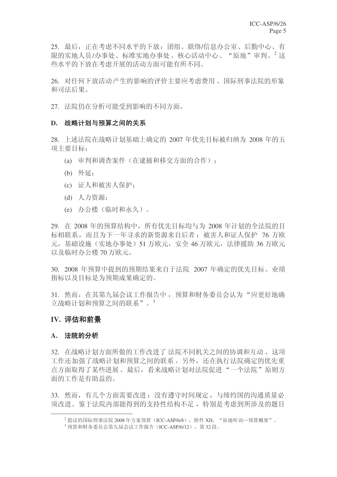25. 最后,正在考虑不同水平的下放: 团组、联络/信息办公室、后勤中心、有 限的实地人员/办事处、标准实地办事处、核心活动中心、"原地"审判。<sup>2</sup> 这 些水平的下放在考虑开展的活动方面可能有所不同。

26. 对任何下放活动产生的影响的评价主要应考虑费用、国际刑事法院的形象 和司法后果。

27. 法院仍在分析可能受到影响的不同方面。

#### D. 战略计划与预算之间的关系

28. 上述法院在战略计划基础上确定的 2007 年优先目标被归纳为 2008 年的五 项主要目标:

- (a) 审判和调杳案件(在逮捕和移交方面的合作):
- (b) 外延:
- (c) 证人和被害人保护;
- (d) 人力资源:
- (e) 办公楼(临时和永久)。

29. 在 2008 年的预算结构中, 所有优先目标均与为 2008 年计划的全法院的目 标相联系,而且为下一年寻求的新资源来自后者: 被害人和证人保护 76 万欧 元, 基础设施 (实地办事处) 51 万欧元, 安全 46 万欧元, 法律援助 36 万欧元 以及临时办公楼70 万欧元。

30. 2008 年预算中提到的预期结果来自于法院 2007 年确定的优先目标。业绩 指标以及目标是为预期成果确定的。

31. 然而, 在其第九届会议工作报告中, 预算和财务委员会认为"应更好地确 立战略计划和预算之间的联系"。3

#### **IV. 评估和前景**

#### A. 法院的分析

32. 在战略计划方面所做的工作改进了 法院不同机关之间的协调和互动。这项 工作还加强了战略计划和预算之间的联系。另外,还在执行法院确定的优先重 点方面取得了某些进展。最后,看来战略计划对法院促进"一个法院"原则方 面的工作是有助益的。

33. 然而,有几个方面需要改讲: 没有遵守时间规定,与缔约国的沟通质量必 须改讲。鉴于法院内部能得到的支持性结构不足, 特别是考虑到所涉及的题目

 $^2$ 提议的国际刑事法院 2008年方案预算(ICC-ASP/6/8), 附件 XII, "原地听讯—预算概要"。

 $3 \frac{1}{2}$  预算和财务委员会第九届会议工作报告 (ICC-ASP/6/12), 第32 段。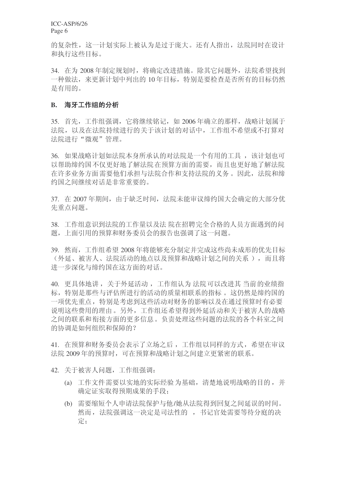ICC-ASP/6/26 Page 6

的复杂性,这一计划实际上被认为是过于庞大。还有人指出,法院同时在设计 和执行这些目标。

34. 在为 2008 年制定规划时, 将确定改进措施。除其它问题外, 法院希望找到 一种做法, 来更新计划中列出的 10年目标, 特别是要检查是否所有的目标仍然 是有用的。

#### B. 海牙工作组的分析

35. 首先, 工作组强调, 它将继续铭记, 如 2006年确立的那样, 战略计划属于 法院,以及在法院持续进行的关于该计划的对话中,工作组不希望或不打算对 法院进行"微观"管理。

36. 如果战略计划如法院本身所承认的对法院是一个有用的工具, 该计划也可 以帮助缔约国不仅更好地了解法院在预算方面的需要,而且也更好地了解法院 在许多业务方面需要他们承担与法院合作和支持法院的义务。因此, 法院和缔 约国之间继续对话是非常重要的。

37. 在 2007年期间, 由于缺乏时间, 法院未能审议缔约国大会确定的大部分优 先重点问题。

38. 工作组意识到法院的工作量以及法 院在招聘完全合格的人员方面遇到的问 题,上面引用的预算和财务委员会的报告也强调了这一问题。

39. 然而, 工作组希望 2008 年将能够充分制定并完成这些尚未成形的优先目标 (外延、被害人、法院活动的地点以及预算和战略计划之间的关系),而且将 进一步深化与缔约国在这方面的对话。

40. 更具体地讲, 关于外延活动, 工作组认为 法院可以改进其 当前的业绩指 标, 特别是那些与评估所进行的活动的质量相联系的指标。这仍然是缔约国的 一项优先重点, 特别是考虑到这些活动对财务的影响以及在通过预算时有必要 说明这些费用的理由。另外,工作组还希望得到外延活动和关于被害人的战略 之间的联系和衔接方面的更多信息。负责处理这些问题的法院的各个科室之间 的协调是如何组织和保障的?

41. 在预算和财务委员会表示了立场之后, 工作组以同样的方式, 希望在审议 法院 2009 年的预算时, 可在预算和战略计划之间建立更紧密的联系。

42. 关于被害人问题, 工作组强调:

- (a) 工作文件需要以实地的实际经验为基础, 清楚地说明战略的目的, 并 确定证实取得预期成果的手段:
- (b) 需要缩短个人申请法院保护与他/她从法院得到回复之间延误的时间。 然而, 法院强调这一决定是司法性的, 书记官处需要等待分庭的决 定: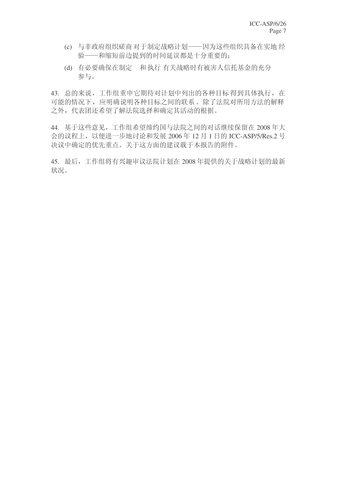- (c) 与非政府组织磋商对于制定战略计划——因为这些组织具备在实地经 验——和缩短前边提到的时间延误都是十分重要的:
- (d) 有必要确保在制定 和执行 有关战略时有被害人信托基金的充分 参与。

43. 总的来说,工作组重申它期待对计划中列出的各种目标得到具体执行,在 可能的情况下, 应明确说明各种目标之间的联系。除了法院对所用方法的解释 之外,代表团还希望了解法院选择和确定其活动的根据。

44. 基于这些意见,工作组希望缔约国与法院之间的对话继续保留在 2008年大 会的议程上, 以便进一步地讨论和发展 2006年 12 月 1 日的 ICC-ASP/5/Res.2 号 决议中确定的优先重点。关于这方面的建议载于本报告的附件。

45. 最后,工作组将有兴趣审议法院计划在 2008 年提供的关于战略计划的最新 状况。